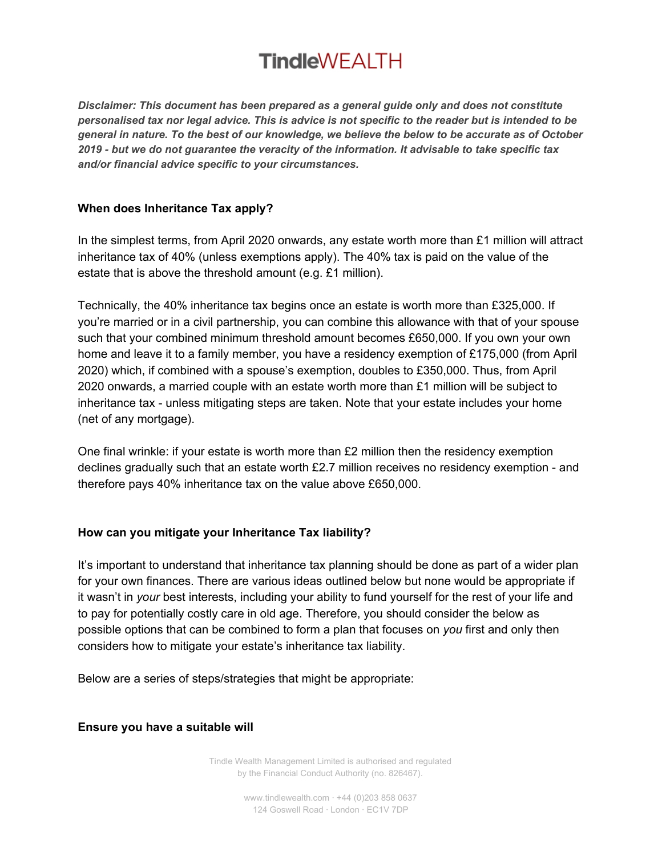*Disclaimer: This document has been prepared as a general guide only and does not constitute* personalised tax nor legal advice. This is advice is not specific to the reader but is intended to be general in nature. To the best of our knowledge, we believe the below to be accurate as of October *2019 - but we do not guarantee the veracity of the information. It advisable to take specific tax and/or financial advice specific to your circumstances.*

### **When does Inheritance Tax apply?**

In the simplest terms, from April 2020 onwards, any estate worth more than £1 million will attract inheritance tax of 40% (unless exemptions apply). The 40% tax is paid on the value of the estate that is above the threshold amount (e.g. £1 million).

Technically, the 40% inheritance tax begins once an estate is worth more than £325,000. If you're married or in a civil partnership, you can combine this allowance with that of your spouse such that your combined minimum threshold amount becomes £650,000. If you own your own home and leave it to a family member, you have a residency exemption of £175,000 (from April 2020) which, if combined with a spouse's exemption, doubles to £350,000. Thus, from April 2020 onwards, a married couple with an estate worth more than £1 million will be subject to inheritance tax - unless mitigating steps are taken. Note that your estate includes your home (net of any mortgage).

One final wrinkle: if your estate is worth more than £2 million then the residency exemption declines gradually such that an estate worth £2.7 million receives no residency exemption - and therefore pays 40% inheritance tax on the value above £650,000.

## **How can you mitigate your Inheritance Tax liability?**

It's important to understand that inheritance tax planning should be done as part of a wider plan for your own finances. There are various ideas outlined below but none would be appropriate if it wasn't in *your* best interests, including your ability to fund yourself for the rest of your life and to pay for potentially costly care in old age. Therefore, you should consider the below as possible options that can be combined to form a plan that focuses on *you* first and only then considers how to mitigate your estate's inheritance tax liability.

Below are a series of steps/strategies that might be appropriate:

### **Ensure you have a suitable will**

Tindle Wealth Management Limited is authorised and regulated by the Financial Conduct Authority (no. 826467).

> www.tindlewealth.com · +44 (0)203 858 0637 124 Goswell Road · London · EC1V 7DP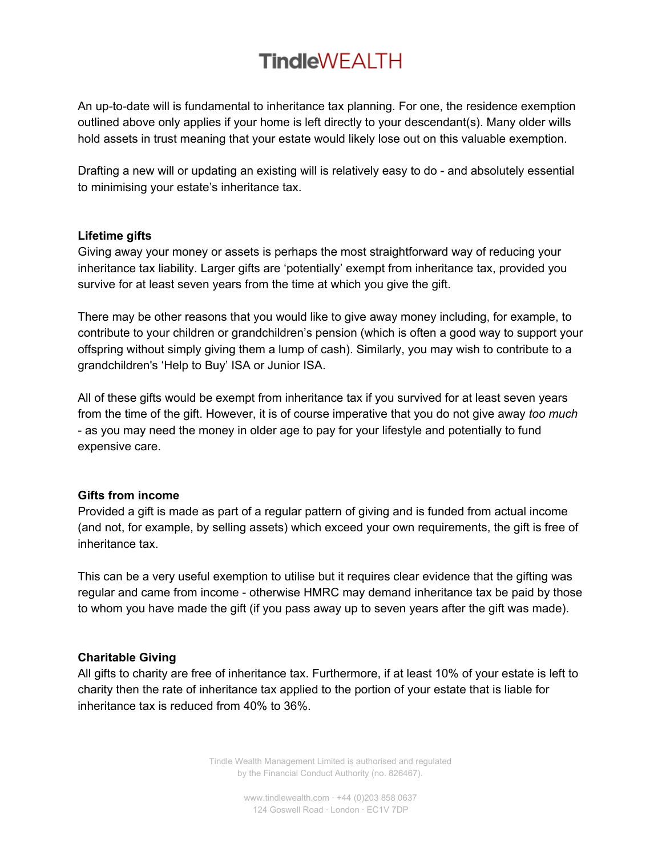An up-to-date will is fundamental to inheritance tax planning. For one, the residence exemption outlined above only applies if your home is left directly to your descendant(s). Many older wills hold assets in trust meaning that your estate would likely lose out on this valuable exemption.

Drafting a new will or updating an existing will is relatively easy to do - and absolutely essential to minimising your estate's inheritance tax.

### **Lifetime gifts**

Giving away your money or assets is perhaps the most straightforward way of reducing your inheritance tax liability. Larger gifts are 'potentially' exempt from inheritance tax, provided you survive for at least seven years from the time at which you give the gift.

There may be other reasons that you would like to give away money including, for example, to contribute to your children or grandchildren's pension (which is often a good way to support your offspring without simply giving them a lump of cash). Similarly, you may wish to contribute to a grandchildren's 'Help to Buy' ISA or Junior ISA.

All of these gifts would be exempt from inheritance tax if you survived for at least seven years from the time of the gift. However, it is of course imperative that you do not give away *too much* - as you may need the money in older age to pay for your lifestyle and potentially to fund expensive care.

#### **Gifts from income**

Provided a gift is made as part of a regular pattern of giving and is funded from actual income (and not, for example, by selling assets) which exceed your own requirements, the gift is free of inheritance tax.

This can be a very useful exemption to utilise but it requires clear evidence that the gifting was regular and came from income - otherwise HMRC may demand inheritance tax be paid by those to whom you have made the gift (if you pass away up to seven years after the gift was made).

### **Charitable Giving**

All gifts to charity are free of inheritance tax. Furthermore, if at least 10% of your estate is left to charity then the rate of inheritance tax applied to the portion of your estate that is liable for inheritance tax is reduced from 40% to 36%.

> Tindle Wealth Management Limited is authorised and regulated by the Financial Conduct Authority (no. 826467).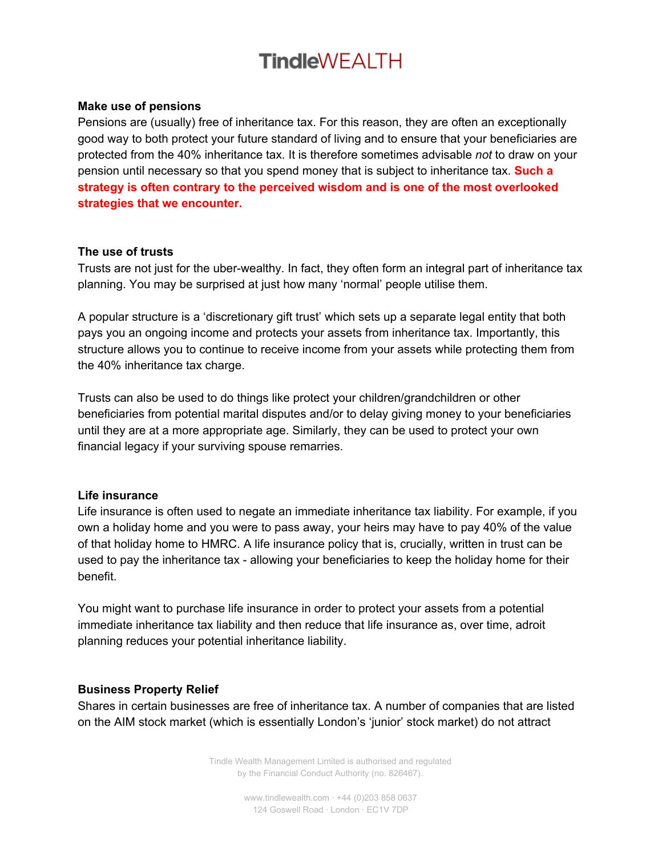### **Make use of pensions**

Pensions are (usually) free of inheritance tax. For this reason, they are often an exceptionally good way to both protect your future standard of living and to ensure that your beneficiaries are protected from the 40% inheritance tax. It is therefore sometimes advisable *not* to draw on your pension until necessary so that you spend money that is subject to inheritance tax. **Such a strategy is often contrary to the perceived wisdom and is one of the most overlooked strategies that we encounter.**

### **The use of trusts**

Trusts are not just for the uber-wealthy. In fact, they often form an integral part of inheritance tax planning. You may be surprised at just how many 'normal' people utilise them.

A popular structure is a 'discretionary gift trust' which sets up a separate legal entity that both pays you an ongoing income and protects your assets from inheritance tax. Importantly, this structure allows you to continue to receive income from your assets while protecting them from the 40% inheritance tax charge.

Trusts can also be used to do things like protect your children/grandchildren or other beneficiaries from potential marital disputes and/or to delay giving money to your beneficiaries until they are at a more appropriate age. Similarly, they can be used to protect your own financial legacy if your surviving spouse remarries.

### **Life insurance**

Life insurance is often used to negate an immediate inheritance tax liability. For example, if you own a holiday home and you were to pass away, your heirs may have to pay 40% of the value of that holiday home to HMRC. A life insurance policy that is, crucially, written in trust can be used to pay the inheritance tax - allowing your beneficiaries to keep the holiday home for their benefit.

You might want to purchase life insurance in order to protect your assets from a potential immediate inheritance tax liability and then reduce that life insurance as, over time, adroit planning reduces your potential inheritance liability.

### **Business Property Relief**

Shares in certain businesses are free of inheritance tax. A number of companies that are listed on the AIM stock market (which is essentially London's 'junior' stock market) do not attract

> Tindle Wealth Management Limited is authorised and regulated by the Financial Conduct Authority (no. 826467).

> > www.tindlewealth.com · +44 (0)203 858 0637 124 Goswell Road · London · EC1V 7DP